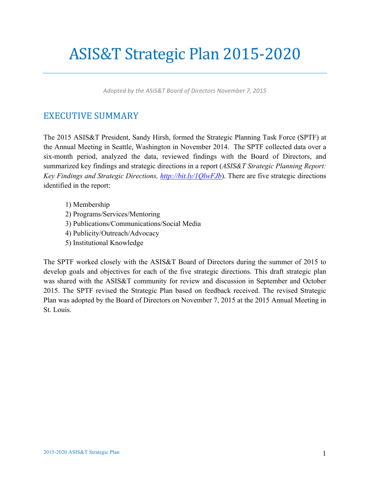# ASIS&T Strategic Plan 2015-2020

*Adopted by the ASIS&T Board of Directors November 7, 2015*

### EXECUTIVE SUMMARY

The 2015 ASIS&T President, Sandy Hirsh, formed the Strategic Planning Task Force (SPTF) at the Annual Meeting in Seattle, Washington in November 2014. The SPTF collected data over a six-month period, analyzed the data, reviewed findings with the Board of Directors, and summarized key findings and strategic directions in a report (*ASIS&T Strategic Planning Report: Key Findings and Strategic Directions, http://bit.ly/1QlwFJb*). There are five strategic directions identified in the report:

- 1) Membership
- 2) Programs/Services/Mentoring
- 3) Publications/Communications/Social Media
- 4) Publicity/Outreach/Advocacy
- 5) Institutional Knowledge

The SPTF worked closely with the ASIS&T Board of Directors during the summer of 2015 to develop goals and objectives for each of the five strategic directions. This draft strategic plan was shared with the ASIS&T community for review and discussion in September and October 2015. The SPTF revised the Strategic Plan based on feedback received. The revised Strategic Plan was adopted by the Board of Directors on November 7, 2015 at the 2015 Annual Meeting in St. Louis.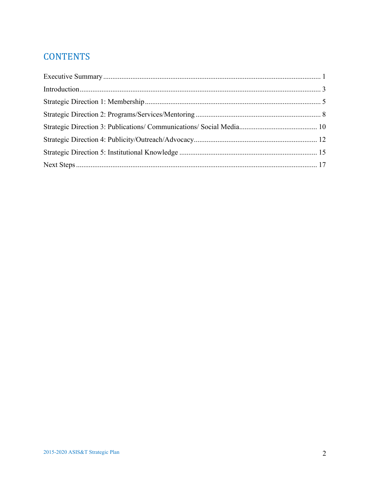## **CONTENTS**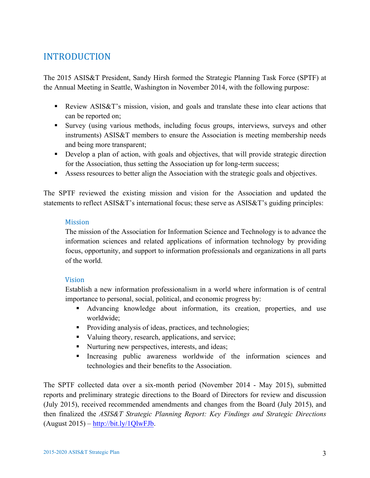## INTRODUCTION

The 2015 ASIS&T President, Sandy Hirsh formed the Strategic Planning Task Force (SPTF) at the Annual Meeting in Seattle, Washington in November 2014, with the following purpose:

- **•** Review ASIS&T's mission, vision, and goals and translate these into clear actions that can be reported on;
- Survey (using various methods, including focus groups, interviews, surveys and other instruments) ASIS&T members to ensure the Association is meeting membership needs and being more transparent;
- Develop a plan of action, with goals and objectives, that will provide strategic direction for the Association, thus setting the Association up for long-term success;
- Assess resources to better align the Association with the strategic goals and objectives.

The SPTF reviewed the existing mission and vision for the Association and updated the statements to reflect ASIS&T's international focus; these serve as ASIS&T's guiding principles:

#### **Mission**

The mission of the Association for Information Science and Technology is to advance the information sciences and related applications of information technology by providing focus, opportunity, and support to information professionals and organizations in all parts of the world.

#### Vision

Establish a new information professionalism in a world where information is of central importance to personal, social, political, and economic progress by:

- § Advancing knowledge about information, its creation, properties, and use worldwide;
- Providing analysis of ideas, practices, and technologies;
- Valuing theory, research, applications, and service;
- Nurturing new perspectives, interests, and ideas;
- § Increasing public awareness worldwide of the information sciences and technologies and their benefits to the Association.

The SPTF collected data over a six-month period (November 2014 - May 2015), submitted reports and preliminary strategic directions to the Board of Directors for review and discussion (July 2015), received recommended amendments and changes from the Board (July 2015), and then finalized the *ASIS&T Strategic Planning Report: Key Findings and Strategic Directions*  $(August 2015) - <http://bit.ly/1QlwFJb>.$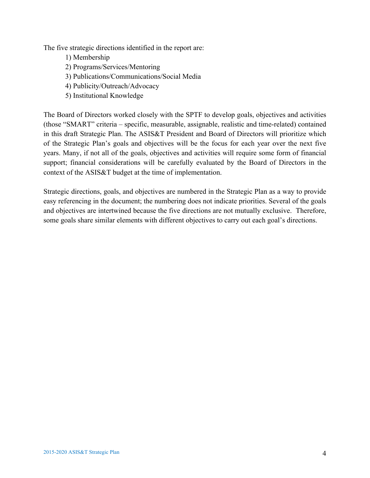The five strategic directions identified in the report are:

- 1) Membership
- 2) Programs/Services/Mentoring
- 3) Publications/Communications/Social Media
- 4) Publicity/Outreach/Advocacy
- 5) Institutional Knowledge

The Board of Directors worked closely with the SPTF to develop goals, objectives and activities (those "SMART" criteria – specific, measurable, assignable, realistic and time-related) contained in this draft Strategic Plan. The ASIS&T President and Board of Directors will prioritize which of the Strategic Plan's goals and objectives will be the focus for each year over the next five years. Many, if not all of the goals, objectives and activities will require some form of financial support; financial considerations will be carefully evaluated by the Board of Directors in the context of the ASIS&T budget at the time of implementation.

Strategic directions, goals, and objectives are numbered in the Strategic Plan as a way to provide easy referencing in the document; the numbering does not indicate priorities. Several of the goals and objectives are intertwined because the five directions are not mutually exclusive. Therefore, some goals share similar elements with different objectives to carry out each goal's directions.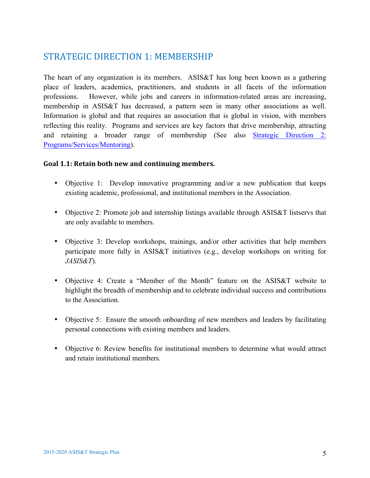## STRATEGIC DIRECTION 1: MEMBERSHIP

The heart of any organization is its members. ASIS&T has long been known as a gathering place of leaders, academics, practitioners, and students in all facets of the information professions. However, while jobs and careers in information-related areas are increasing, membership in ASIS&T has decreased, a pattern seen in many other associations as well. Information is global and that requires an association that is global in vision, with members reflecting this reality. Programs and services are key factors that drive membership, attracting and retaining a broader range of membership (See also Strategic Direction 2: Programs/Services/Mentoring).

#### **Goal 1.1: Retain both new and continuing members.**

- Objective 1: Develop innovative programming and/or a new publication that keeps existing academic, professional, and institutional members in the Association.
- Objective 2: Promote job and internship listings available through ASIS&T listservs that are only available to members.
- Objective 3: Develop workshops, trainings, and/or other activities that help members participate more fully in ASIS&T initiatives (e.g., develop workshops on writing for *JASIS&T*).
- Objective 4: Create a "Member of the Month" feature on the ASIS&T website to highlight the breadth of membership and to celebrate individual success and contributions to the Association.
- Objective 5: Ensure the smooth onboarding of new members and leaders by facilitating personal connections with existing members and leaders.
- Objective 6: Review benefits for institutional members to determine what would attract and retain institutional members.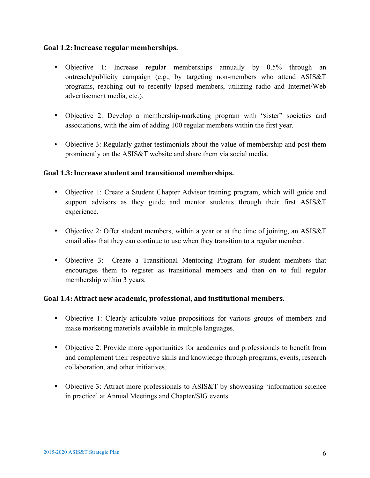#### **Goal 1.2: Increase regular memberships.**

- Objective 1: Increase regular memberships annually by 0.5% through an outreach/publicity campaign (e.g., by targeting non-members who attend ASIS&T programs, reaching out to recently lapsed members, utilizing radio and Internet/Web advertisement media, etc.).
- Objective 2: Develop a membership-marketing program with "sister" societies and associations, with the aim of adding 100 regular members within the first year.
- Objective 3: Regularly gather testimonials about the value of membership and post them prominently on the ASIS&T website and share them via social media.

#### **Goal 1.3: Increase student and transitional memberships.**

- Objective 1: Create a Student Chapter Advisor training program, which will guide and support advisors as they guide and mentor students through their first ASIS&T experience.
- Objective 2: Offer student members, within a year or at the time of joining, an ASIS&T email alias that they can continue to use when they transition to a regular member.
- Objective 3: Create a Transitional Mentoring Program for student members that encourages them to register as transitional members and then on to full regular membership within 3 years.

#### Goal 1.4: Attract new academic, professional, and institutional members.

- Objective 1: Clearly articulate value propositions for various groups of members and make marketing materials available in multiple languages.
- Objective 2: Provide more opportunities for academics and professionals to benefit from and complement their respective skills and knowledge through programs, events, research collaboration, and other initiatives.
- Objective 3: Attract more professionals to ASIS&T by showcasing 'information science in practice' at Annual Meetings and Chapter/SIG events.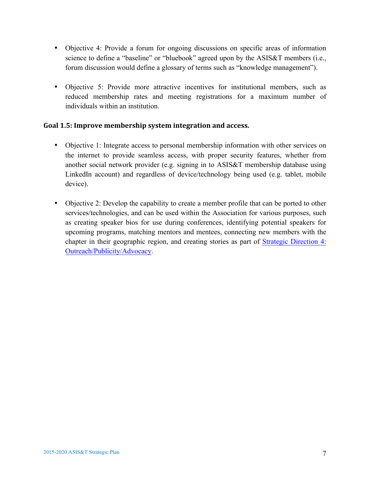- Objective 4: Provide a forum for ongoing discussions on specific areas of information science to define a "baseline" or "bluebook" agreed upon by the ASIS&T members (i.e., forum discussion would define a glossary of terms such as "knowledge management").
- Objective 5: Provide more attractive incentives for institutional members, such as reduced membership rates and meeting registrations for a maximum number of individuals within an institution.

#### Goal 1.5: Improve membership system integration and access.

- Objective 1: Integrate access to personal membership information with other services on the internet to provide seamless access, with proper security features, whether from another social network provider (e.g. signing in to ASIS&T membership database using LinkedIn account) and regardless of device/technology being used (e.g. tablet, mobile device).
- Objective 2: Develop the capability to create a member profile that can be ported to other services/technologies, and can be used within the Association for various purposes, such as creating speaker bios for use during conferences, identifying potential speakers for upcoming programs, matching mentors and mentees, connecting new members with the chapter in their geographic region, and creating stories as part of Strategic Direction 4: Outreach/Publicity/Advocacy.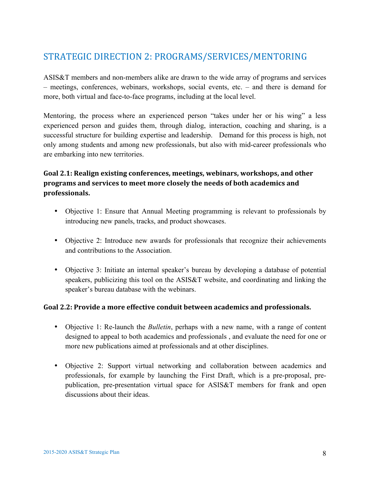## STRATEGIC DIRECTION 2: PROGRAMS/SERVICES/MENTORING

ASIS&T members and non-members alike are drawn to the wide array of programs and services – meetings, conferences, webinars, workshops, social events, etc. – and there is demand for more, both virtual and face-to-face programs, including at the local level.

Mentoring, the process where an experienced person "takes under her or his wing" a less experienced person and guides them, through dialog, interaction, coaching and sharing, is a successful structure for building expertise and leadership. Demand for this process is high, not only among students and among new professionals, but also with mid-career professionals who are embarking into new territories.

#### Goal 2.1: Realign existing conferences, meetings, webinars, workshops, and other **programs and services to meet more closely the needs of both academics and professionals.**

- Objective 1: Ensure that Annual Meeting programming is relevant to professionals by introducing new panels, tracks, and product showcases.
- Objective 2: Introduce new awards for professionals that recognize their achievements and contributions to the Association.
- Objective 3: Initiate an internal speaker's bureau by developing a database of potential speakers, publicizing this tool on the ASIS&T website, and coordinating and linking the speaker's bureau database with the webinars.

#### Goal 2.2: Provide a more effective conduit between academics and professionals.

- Objective 1: Re-launch the *Bulletin*, perhaps with a new name, with a range of content designed to appeal to both academics and professionals , and evaluate the need for one or more new publications aimed at professionals and at other disciplines.
- Objective 2: Support virtual networking and collaboration between academics and professionals, for example by launching the First Draft, which is a pre-proposal, prepublication, pre-presentation virtual space for ASIS&T members for frank and open discussions about their ideas.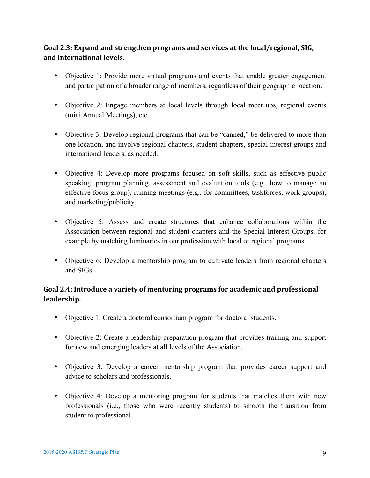#### Goal 2.3: Expand and strengthen programs and services at the local/regional, SIG, and international levels.

- Objective 1: Provide more virtual programs and events that enable greater engagement and participation of a broader range of members, regardless of their geographic location.
- Objective 2: Engage members at local levels through local meet ups, regional events (mini Annual Meetings), etc.
- Objective 3: Develop regional programs that can be "canned," be delivered to more than one location, and involve regional chapters, student chapters, special interest groups and international leaders, as needed.
- Objective 4: Develop more programs focused on soft skills, such as effective public speaking, program planning, assessment and evaluation tools (e.g., how to manage an effective focus group), running meetings (e.g., for committees, taskforces, work groups), and marketing/publicity.
- Objective 5: Assess and create structures that enhance collaborations within the Association between regional and student chapters and the Special Interest Groups, for example by matching luminaries in our profession with local or regional programs.
- Objective 6: Develop a mentorship program to cultivate leaders from regional chapters and SIGs.

#### Goal 2.4: Introduce a variety of mentoring programs for academic and professional **leadership.**

- Objective 1: Create a doctoral consortium program for doctoral students.
- Objective 2: Create a leadership preparation program that provides training and support for new and emerging leaders at all levels of the Association.
- Objective 3: Develop a career mentorship program that provides career support and advice to scholars and professionals.
- Objective 4: Develop a mentoring program for students that matches them with new professionals (i.e., those who were recently students) to smooth the transition from student to professional.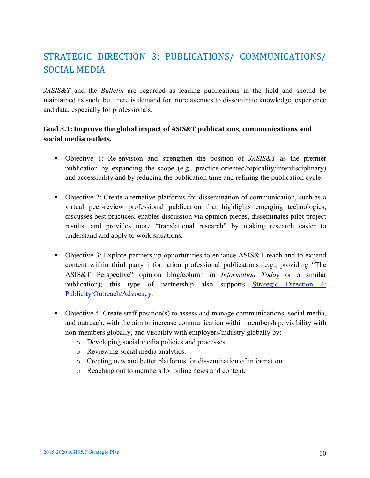# STRATEGIC DIRECTION 3: PUBLICATIONS/ COMMUNICATIONS/ SOCIAL MEDIA

*JASIS&T* and the *Bulletin* are regarded as leading publications in the field and should be maintained as such, but there is demand for more avenues to disseminate knowledge, experience and data, especially for professionals.

#### Goal 3.1: Improve the global impact of ASIS&T publications, communications and **social media outlets.**

- Objective 1: Re-envision and strengthen the position of *JASIS&T* as the premier publication by expanding the scope (e.g., practice-oriented/topicality/interdisciplinary) and accessibility and by reducing the publication time and refining the publication cycle.
- Objective 2: Create alternative platforms for dissemination of communication, such as a virtual peer-review professional publication that highlights emerging technologies, discusses best practices, enables discussion via opinion pieces, disseminates pilot project results, and provides more "translational research" by making research easier to understand and apply to work situations.
- Objective 3: Explore partnership opportunities to enhance ASIS&T reach and to expand content within third party information professional publications (e.g., providing "The ASIS&T Perspective" opinion blog/column in *Information Today* or a similar publication); this type of partnership also supports Strategic Direction 4: Publicity/Outreach/Advocacy.
- Objective 4: Create staff position(s) to assess and manage communications, social media, and outreach, with the aim to increase communication within membership, visibility with non-members globally, and visibility with employers/industry globally by:
	- o Developing social media policies and processes.
	- o Reviewing social media analytics.
	- o Creating new and better platforms for dissemination of information.
	- o Reaching out to members for online news and content.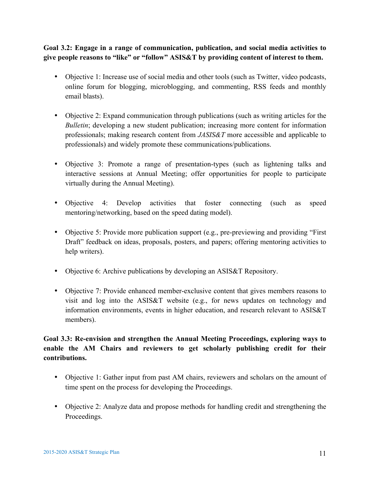**Goal 3.2: Engage in a range of communication, publication, and social media activities to give people reasons to "like" or "follow" ASIS&T by providing content of interest to them.**

- Objective 1: Increase use of social media and other tools (such as Twitter, video podcasts, online forum for blogging, microblogging, and commenting, RSS feeds and monthly email blasts).
- Objective 2: Expand communication through publications (such as writing articles for the *Bulletin*; developing a new student publication; increasing more content for information professionals; making research content from *JASIS&T* more accessible and applicable to professionals) and widely promote these communications/publications.
- Objective 3: Promote a range of presentation-types (such as lightening talks and interactive sessions at Annual Meeting; offer opportunities for people to participate virtually during the Annual Meeting).
- Objective 4: Develop activities that foster connecting (such as speed mentoring/networking, based on the speed dating model).
- Objective 5: Provide more publication support (e.g., pre-previewing and providing "First" Draft" feedback on ideas, proposals, posters, and papers; offering mentoring activities to help writers).
- Objective 6: Archive publications by developing an ASIS&T Repository.
- Objective 7: Provide enhanced member-exclusive content that gives members reasons to visit and log into the ASIS&T website (e.g., for news updates on technology and information environments, events in higher education, and research relevant to ASIS&T members).

#### **Goal 3.3: Re-envision and strengthen the Annual Meeting Proceedings, exploring ways to enable the AM Chairs and reviewers to get scholarly publishing credit for their contributions.**

- Objective 1: Gather input from past AM chairs, reviewers and scholars on the amount of time spent on the process for developing the Proceedings.
- Objective 2: Analyze data and propose methods for handling credit and strengthening the Proceedings.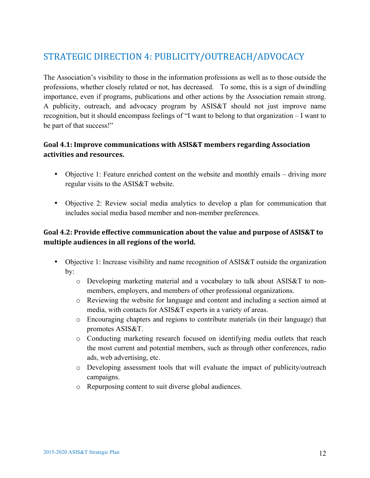# STRATEGIC DIRECTION 4: PUBLICITY/OUTREACH/ADVOCACY

The Association's visibility to those in the information professions as well as to those outside the professions, whether closely related or not, has decreased. To some, this is a sign of dwindling importance, even if programs, publications and other actions by the Association remain strong. A publicity, outreach, and advocacy program by ASIS&T should not just improve name recognition, but it should encompass feelings of "I want to belong to that organization – I want to be part of that success!"

#### Goal 4.1: Improve communications with ASIS&T members regarding Association activities and resources.

- Objective 1: Feature enriched content on the website and monthly emails driving more regular visits to the ASIS&T website.
- Objective 2: Review social media analytics to develop a plan for communication that includes social media based member and non-member preferences.

#### **Goal 4.2: Provide effective communication about the value and purpose of ASIS&T to** multiple audiences in all regions of the world.

- Objective 1: Increase visibility and name recognition of ASIS&T outside the organization by:
	- o Developing marketing material and a vocabulary to talk about ASIS&T to nonmembers, employers, and members of other professional organizations.
	- o Reviewing the website for language and content and including a section aimed at media, with contacts for ASIS&T experts in a variety of areas.
	- o Encouraging chapters and regions to contribute materials (in their language) that promotes ASIS&T.
	- o Conducting marketing research focused on identifying media outlets that reach the most current and potential members, such as through other conferences, radio ads, web advertising, etc.
	- o Developing assessment tools that will evaluate the impact of publicity/outreach campaigns.
	- o Repurposing content to suit diverse global audiences.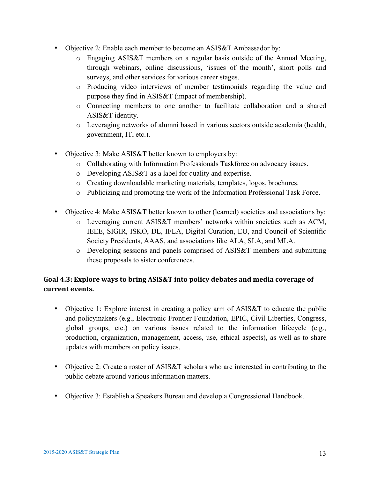- Objective 2: Enable each member to become an ASIS&T Ambassador by:
	- o Engaging ASIS&T members on a regular basis outside of the Annual Meeting, through webinars, online discussions, 'issues of the month', short polls and surveys, and other services for various career stages.
	- o Producing video interviews of member testimonials regarding the value and purpose they find in ASIS&T (impact of membership).
	- o Connecting members to one another to facilitate collaboration and a shared ASIS&T identity.
	- o Leveraging networks of alumni based in various sectors outside academia (health, government, IT, etc.).
- Objective 3: Make ASIS&T better known to employers by:
	- o Collaborating with Information Professionals Taskforce on advocacy issues.
	- o Developing ASIS&T as a label for quality and expertise.
	- o Creating downloadable marketing materials, templates, logos, brochures.
	- o Publicizing and promoting the work of the Information Professional Task Force.
- Objective 4: Make ASIS&T better known to other (learned) societies and associations by:
	- o Leveraging current ASIS&T members' networks within societies such as ACM, IEEE, SIGIR, ISKO, DL, IFLA, Digital Curation, EU, and Council of Scientific Society Presidents, AAAS, and associations like ALA, SLA, and MLA.
	- o Developing sessions and panels comprised of ASIS&T members and submitting these proposals to sister conferences.

#### Goal 4.3: Explore ways to bring ASIS&T into policy debates and media coverage of current events.

- Objective 1: Explore interest in creating a policy arm of ASIS&T to educate the public and policymakers (e.g., Electronic Frontier Foundation, EPIC, Civil Liberties, Congress, global groups, etc.) on various issues related to the information lifecycle (e.g., production, organization, management, access, use, ethical aspects), as well as to share updates with members on policy issues.
- Objective 2: Create a roster of ASIS&T scholars who are interested in contributing to the public debate around various information matters.
- Objective 3: Establish a Speakers Bureau and develop a Congressional Handbook.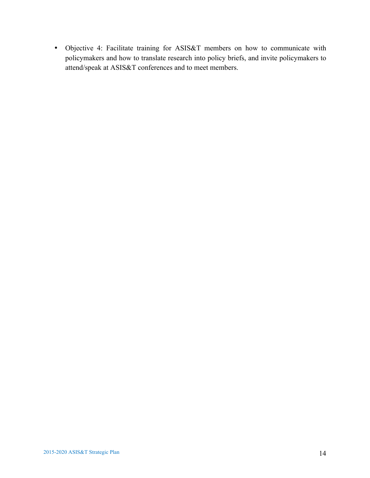• Objective 4: Facilitate training for ASIS&T members on how to communicate with policymakers and how to translate research into policy briefs, and invite policymakers to attend/speak at ASIS&T conferences and to meet members.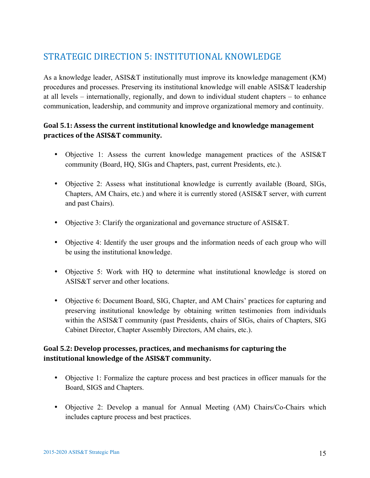# STRATEGIC DIRECTION 5: INSTITUTIONAL KNOWLEDGE

As a knowledge leader, ASIS&T institutionally must improve its knowledge management (KM) procedures and processes. Preserving its institutional knowledge will enable ASIS&T leadership at all levels – internationally, regionally, and down to individual student chapters – to enhance communication, leadership, and community and improve organizational memory and continuity.

#### Goal 5.1: Assess the current institutional knowledge and knowledge management **practices of the ASIS&T community.**

- Objective 1: Assess the current knowledge management practices of the ASIS&T community (Board, HQ, SIGs and Chapters, past, current Presidents, etc.).
- Objective 2: Assess what institutional knowledge is currently available (Board, SIGs, Chapters, AM Chairs, etc.) and where it is currently stored (ASIS&T server, with current and past Chairs).
- Objective 3: Clarify the organizational and governance structure of ASIS&T.
- Objective 4: Identify the user groups and the information needs of each group who will be using the institutional knowledge.
- Objective 5: Work with HQ to determine what institutional knowledge is stored on ASIS&T server and other locations.
- Objective 6: Document Board, SIG, Chapter, and AM Chairs' practices for capturing and preserving institutional knowledge by obtaining written testimonies from individuals within the ASIS&T community (past Presidents, chairs of SIGs, chairs of Chapters, SIG Cabinet Director, Chapter Assembly Directors, AM chairs, etc.).

#### Goal 5.2: Develop processes, practices, and mechanisms for capturing the **institutional knowledge of the ASIS&T community.**

- Objective 1: Formalize the capture process and best practices in officer manuals for the Board, SIGS and Chapters.
- Objective 2: Develop a manual for Annual Meeting (AM) Chairs/Co-Chairs which includes capture process and best practices.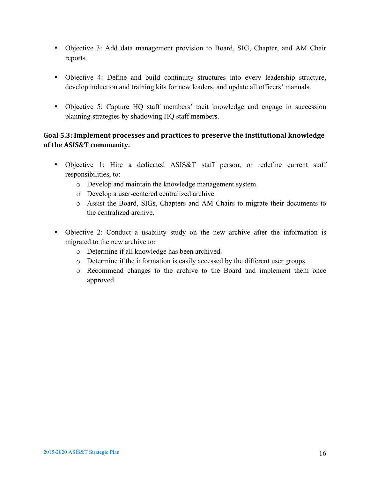- Objective 3: Add data management provision to Board, SIG, Chapter, and AM Chair reports.
- Objective 4: Define and build continuity structures into every leadership structure, develop induction and training kits for new leaders, and update all officers' manuals.
- Objective 5: Capture HQ staff members' tacit knowledge and engage in succession planning strategies by shadowing HQ staff members.

#### Goal 5.3: Implement processes and practices to preserve the institutional knowledge **of the ASIS&T community.**

- Objective 1: Hire a dedicated ASIS&T staff person, or redefine current staff responsibilities, to:
	- o Develop and maintain the knowledge management system.
	- o Develop a user-centered centralized archive.
	- o Assist the Board, SIGs, Chapters and AM Chairs to migrate their documents to the centralized archive.
- Objective 2: Conduct a usability study on the new archive after the information is migrated to the new archive to:
	- o Determine if all knowledge has been archived.
	- o Determine if the information is easily accessed by the different user groups.
	- o Recommend changes to the archive to the Board and implement them once approved.